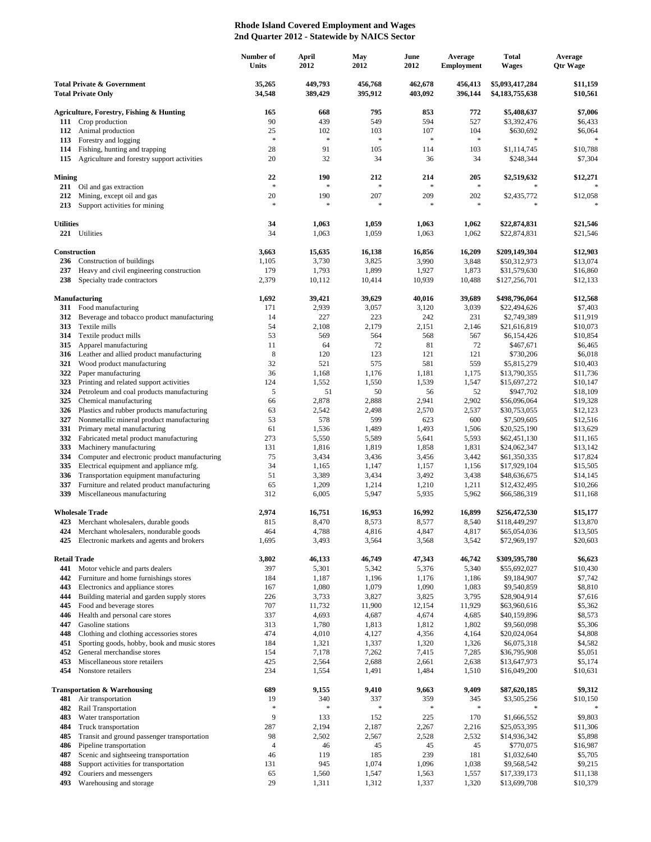## **Rhode Island Covered Employment and Wages 2nd Quarter 2012 - Statewide by NAICS Sector**

|                                                                    |                                                                                       | Number of<br><b>Units</b> | April<br>2012        | May<br>2012        | June<br>2012       | Average<br><b>Employment</b> | <b>Total</b><br><b>Wages</b>       | Average<br><b>Qtr Wage</b> |
|--------------------------------------------------------------------|---------------------------------------------------------------------------------------|---------------------------|----------------------|--------------------|--------------------|------------------------------|------------------------------------|----------------------------|
| <b>Total Private &amp; Government</b><br><b>Total Private Only</b> |                                                                                       | 35,265<br>34,548          | 449,793<br>389,429   | 456,768<br>395,912 | 462,678<br>403,092 | 456,413<br>396,144           | \$5,093,417,284<br>\$4,183,755,638 | \$11,159<br>\$10,561       |
|                                                                    | Agriculture, Forestry, Fishing & Hunting                                              | 165                       | 668                  | 795                | 853                | 772                          | \$5,408,637                        | \$7,006                    |
|                                                                    | 111 Crop production                                                                   | 90                        | 439                  | 549                | 594                | 527                          | \$3,392,476                        | \$6,433                    |
| 112                                                                | Animal production                                                                     | 25                        | 102                  | 103                | 107                | 104                          | \$630,692                          | \$6,064                    |
| 113                                                                | Forestry and logging                                                                  | $\ast$                    | $\ast$               | $\ast$             | $\approx$          | $\ast$                       | $\ast$                             |                            |
| 114<br>115                                                         | Fishing, hunting and trapping<br>Agriculture and forestry support activities          | 28<br>20                  | 91<br>32             | 105<br>34          | 114<br>36          | 103<br>34                    | \$1,114,745<br>\$248,344           | \$10,788<br>\$7,304        |
|                                                                    |                                                                                       |                           |                      |                    |                    |                              |                                    |                            |
| <b>Mining</b><br>211                                               | Oil and gas extraction                                                                | 22<br>$\ast$              | 190<br>$\mathbf{g}$  | 212<br>$\ast$      | 214<br>$\ast$      | 205<br>$\frac{1}{2}$         | \$2,519,632                        | \$12,271                   |
| 212<br>213                                                         | Mining, except oil and gas<br>Support activities for mining                           | 20<br>$\ast$              | 190<br>$\ast$        | 207<br>$\ast$      | 209<br>$\approx$   | 202<br>$\ast$                | \$2,435,772<br>$\frac{1}{2}$       | \$12,058                   |
| <b>Utilities</b>                                                   |                                                                                       | 34                        | 1,063                | 1,059              | 1,063              | 1,062                        | \$22,874,831                       | \$21,546                   |
| 221                                                                | Utilities                                                                             | 34                        | 1,063                | 1,059              | 1,063              | 1,062                        | \$22,874,831                       | \$21,546                   |
|                                                                    | Construction                                                                          | 3,663                     | 15,635               | 16,138             | 16,856             | 16,209                       | \$209,149,304                      | \$12,903                   |
| 236<br>237                                                         | Construction of buildings<br>Heavy and civil engineering construction                 | 1,105<br>179              | 3,730<br>1,793       | 3,825<br>1,899     | 3,990<br>1,927     | 3,848<br>1,873               | \$50,312,973<br>\$31,579,630       | \$13,074<br>\$16,860       |
| 238                                                                | Specialty trade contractors                                                           | 2,379                     | 10,112               | 10,414             | 10,939             | 10,488                       | \$127,256,701                      | \$12,133                   |
|                                                                    | <b>Manufacturing</b>                                                                  | 1,692                     | 39,421               | 39,629             | 40,016             | 39,689                       | \$498,796,064                      | \$12,568                   |
| 311                                                                | Food manufacturing                                                                    | 171                       | 2,939                | 3,057              | 3,120              | 3,039                        | \$22,494,626                       | \$7,403                    |
| 312                                                                | Beverage and tobacco product manufacturing                                            | 14                        | 227                  | 223                | 242                | 231                          | \$2,749,389                        | \$11,919                   |
| 313                                                                | Textile mills                                                                         | 54                        | 2,108                | 2,179              | 2,151              | 2,146                        | \$21,616,819                       | \$10,073                   |
| 314<br>315                                                         | Textile product mills<br>Apparel manufacturing                                        | 53<br>11                  | 569<br>64            | 564<br>72          | 568<br>81          | 567<br>72                    | \$6,154,426<br>\$467,671           | \$10,854<br>\$6,465        |
| 316                                                                | Leather and allied product manufacturing                                              | 8                         | 120                  | 123                | 121                | 121                          | \$730,206                          | \$6,018                    |
| 321                                                                | Wood product manufacturing                                                            | 32                        | 521                  | 575                | 581                | 559                          | \$5,815,279                        | \$10,403                   |
| 322                                                                | Paper manufacturing                                                                   | 36                        | 1,168                | 1,176              | 1,181              | 1,175                        | \$13,790,355                       | \$11,736                   |
| 323                                                                | Printing and related support activities                                               | 124                       | 1,552                | 1,550              | 1,539              | 1,547                        | \$15,697,272                       | \$10,147                   |
| 324                                                                | Petroleum and coal products manufacturing                                             | 5                         | 51                   | 50                 | 56                 | 52                           | \$947,702                          | \$18,109                   |
| 325<br>326                                                         | Chemical manufacturing<br>Plastics and rubber products manufacturing                  | 66<br>63                  | 2,878<br>2,542       | 2,888<br>2,498     | 2,941<br>2,570     | 2,902<br>2,537               | \$56,096,064<br>\$30,753,055       | \$19,328<br>\$12,123       |
| 327                                                                | Nonmetallic mineral product manufacturing                                             | 53                        | 578                  | 599                | 623                | 600                          | \$7,509,605                        | \$12,516                   |
| 331                                                                | Primary metal manufacturing                                                           | 61                        | 1,536                | 1,489              | 1,493              | 1,506                        | \$20,525,190                       | \$13,629                   |
| 332                                                                | Fabricated metal product manufacturing                                                | 273                       | 5,550                | 5,589              | 5,641              | 5,593                        | \$62,451,130                       | \$11,165                   |
| 333                                                                | Machinery manufacturing                                                               | 131                       | 1,816                | 1,819              | 1,858              | 1,831                        | \$24,062,347                       | \$13,142                   |
| 334                                                                | Computer and electronic product manufacturing                                         | 75                        | 3,434                | 3,436              | 3,456              | 3,442                        | \$61,350,335                       | \$17,824                   |
| 335<br>336                                                         | Electrical equipment and appliance mfg.                                               | 34<br>51                  | 1,165<br>3,389       | 1,147<br>3,434     | 1,157<br>3,492     | 1,156                        | \$17,929,104<br>\$48,636,675       | \$15,505<br>\$14,145       |
| 337                                                                | Transportation equipment manufacturing<br>Furniture and related product manufacturing | 65                        | 1,209                | 1,214              | 1,210              | 3,438<br>1,211               | \$12,432,495                       | \$10,266                   |
| 339                                                                | Miscellaneous manufacturing                                                           | 312                       | 6,005                | 5,947              | 5,935              | 5,962                        | \$66,586,319                       | \$11,168                   |
|                                                                    | <b>Wholesale Trade</b>                                                                | 2,974                     | 16,751               | 16,953             | 16,992             | 16,899                       | \$256,472,530                      | \$15,177                   |
|                                                                    | 423 Merchant wholesalers, durable goods                                               | 815                       | 8,470                | 8,573              | 8,577              | 8,540                        | \$118,449,297                      | \$13,870                   |
| 424                                                                | Merchant wholesalers, nondurable goods                                                | 464                       | 4,788                | 4,816              | 4,847              | 4,817                        | \$65,054,036                       | \$13,505                   |
| 425                                                                | Electronic markets and agents and brokers                                             | 1,695                     | 3,493                | 3,564              | 3,568              | 3,542                        | \$72,969,197                       | \$20,603                   |
| <b>Retail Trade</b>                                                |                                                                                       | 3,802                     | 46,133               | 46,749             | 47,343             | 46,742                       | \$309,595,780                      | \$6,623                    |
| 441<br>442                                                         | Motor vehicle and parts dealers<br>Furniture and home furnishings stores              | 397<br>184                | 5,301<br>1,187       | 5,342<br>1,196     | 5,376<br>1,176     | 5,340<br>1,186               | \$55,692,027<br>\$9,184,907        | \$10,430<br>\$7,742        |
| 443                                                                | Electronics and appliance stores                                                      | 167                       | 1,080                | 1,079              | 1,090              | 1,083                        | \$9,540,859                        | \$8,810                    |
| 444                                                                | Building material and garden supply stores                                            | 226                       | 3,733                | 3,827              | 3,825              | 3,795                        | \$28,904,914                       | \$7,616                    |
| 445                                                                | Food and beverage stores                                                              | 707                       | 11,732               | 11,900             | 12,154             | 11,929                       | \$63,960,616                       | \$5,362                    |
| 446                                                                | Health and personal care stores                                                       | 337                       | 4,693                | 4,687              | 4,674              | 4,685                        | \$40,159,896                       | \$8,573                    |
| 447                                                                | Gasoline stations                                                                     | 313                       | 1,780                | 1,813              | 1,812              | 1,802                        | \$9,560,098                        | \$5,306                    |
| 448                                                                | Clothing and clothing accessories stores                                              | 474                       | 4,010                | 4,127              | 4,356              | 4,164                        | \$20,024,064                       | \$4,808                    |
| 451<br>452                                                         | Sporting goods, hobby, book and music stores<br>General merchandise stores            | 184<br>154                | 1,321<br>7,178       | 1,337<br>7,262     | 1,320<br>7,415     | 1,326<br>7,285               | \$6,075,318<br>\$36,795,908        | \$4,582<br>\$5,051         |
| 453                                                                | Miscellaneous store retailers                                                         | 425                       | 2,564                | 2,688              | 2,661              | 2,638                        | \$13,647,973                       | \$5,174                    |
| 454                                                                | Nonstore retailers                                                                    | 234                       | 1,554                | 1,491              | 1,484              | 1,510                        | \$16,049,200                       | \$10,631                   |
|                                                                    | Transportation & Warehousing                                                          | 689                       | 9,155                | 9,410              | 9,663              | 9,409                        | \$87,620,185                       | \$9,312                    |
| 481                                                                | Air transportation                                                                    | 19<br>$\ast$              | 340<br>$\frac{1}{2}$ | 337<br>$\ast$      | 359<br>*           | 345<br>$\frac{1}{2}$         | \$3,505,256                        | \$10,150                   |
| 482<br>483                                                         | Rail Transportation<br>Water transportation                                           | 9                         | 133                  | 152                | 225                | 170                          | \$1,666,552                        | \$9,803                    |
| 484                                                                | Truck transportation                                                                  | 287                       | 2,194                | 2,187              | 2,267              | 2,216                        | \$25,053,395                       | \$11,306                   |
| 485                                                                | Transit and ground passenger transportation                                           | 98                        | 2,502                | 2,567              | 2,528              | 2,532                        | \$14,936,342                       | \$5,898                    |
| 486                                                                | Pipeline transportation                                                               | $\overline{4}$            | 46                   | 45                 | 45                 | 45                           | \$770,075                          | \$16,987                   |
| 487                                                                | Scenic and sightseeing transportation                                                 | 46                        | 119                  | 185                | 239                | 181                          | \$1,032,640                        | \$5,705                    |
| 488                                                                | Support activities for transportation                                                 | 131                       | 945                  | 1,074              | 1,096              | 1,038                        | \$9,568,542                        | \$9,215                    |
| 492                                                                | Couriers and messengers                                                               | 65                        | 1,560                | 1,547              | 1,563              | 1,557                        | \$17,339,173                       | \$11,138                   |
| 493                                                                | Warehousing and storage                                                               | 29                        | 1,311                | 1,312              | 1,337              | 1,320                        | \$13,699,708                       | \$10,379                   |